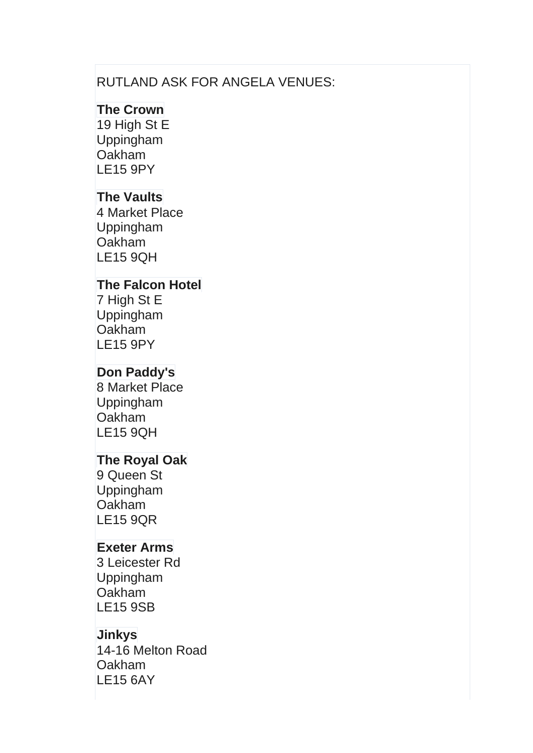### RUTLAND ASK FOR ANGELA VENUES:

### **The Crown**

19 High St E Uppingham **Oakham** LE15 9PY

## **The Vaults**

4 Market Place Uppingham **Oakham** LE15 9QH

#### **The Falcon Hotel**

7 High St E Uppingham **Oakham** LE15 9PY

# **Don Paddy's**

8 Market Place Uppingham **Oakham** LE15 9QH

## **The Royal Oak**

9 Queen St Uppingham **Oakham** LE15 9QR

## **Exeter Arms**

3 Leicester Rd Uppingham **Oakham** LE15 9SB

## **Jinkys**

14-16 Melton Road Oakham LE15 6AY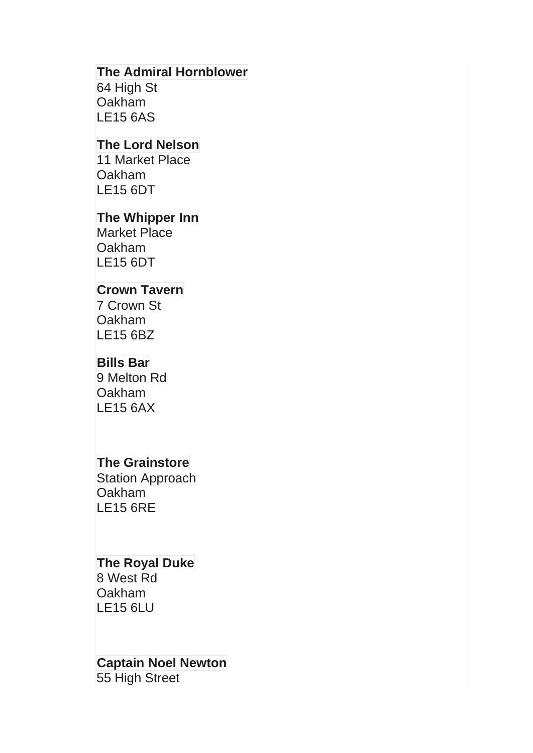#### **The Admiral Hornblower**

64 High St **Oakham** LE15 6AS

### **The Lord Nelson**

11 Market Place **Oakham** LE15 6DT

#### **The Whipper Inn**

Market Place **Oakham** LE15 6DT

#### **Crown Tavern**

7 Crown St **Oakham** LE15 6BZ

#### **Bills Bar**

9 Melton Rd **Oakham** LE15 6AX

# **The Grainstore**

Station Approach Oakham LE15 6RE

#### **The Royal Duke**

8 West Rd **Oakham** LE15 6LU

# **Captain Noel Newton** 55 High Street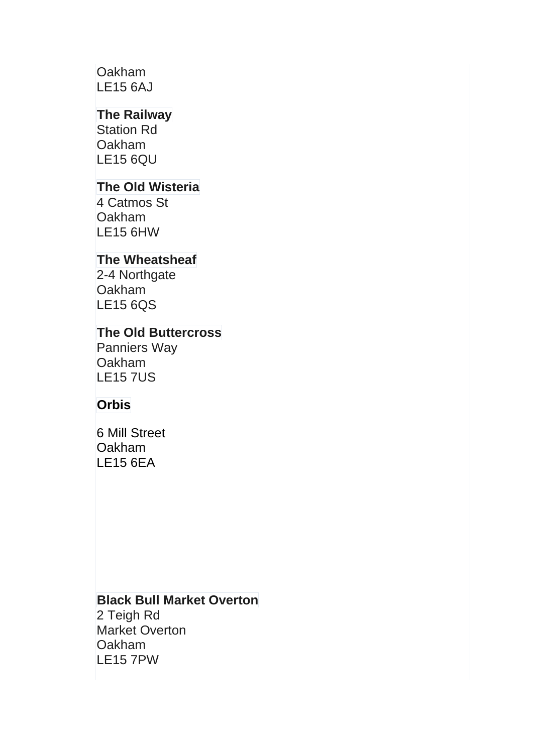## **Oakham** LE15 6AJ

# **The Railway**

Station Rd **Oakham** LE15 6QU

# **The Old Wisteria**

4 Catmos St Oakham LE15 6HW

# **The Wheatsheaf**

2-4 Northgate **Oakham** LE15 6QS

# **The Old Buttercross**

Panniers Way **Oakham LE15 7US** 

#### **Orbis**

6 Mill Street **Oakham** LE15 6EA

#### **Black Bull Market Overton**

2 Teigh Rd Market Overton **Oakham** LE15 7PW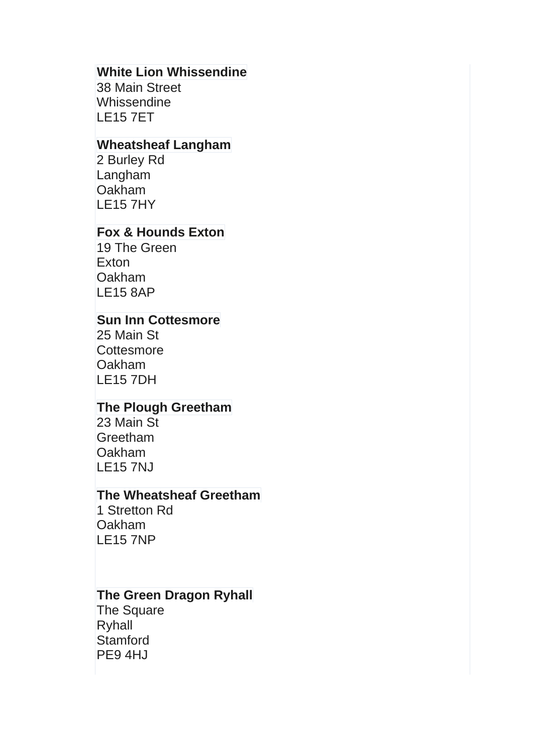### **White Lion Whissendine**

38 Main Street **Whissendine** LE15 7ET

# **Wheatsheaf Langham**

2 Burley Rd Langham Oakham LE15 7HY

# **Fox & Hounds Exton**

19 The Green **Exton** Oakham LE15 8AP

### **Sun Inn Cottesmore**

25 Main St **Cottesmore** Oakham LE15 7DH

## **The Plough Greetham**

23 Main St **Greetham** Oakham LE15 7NJ

#### **The Wheatsheaf Greetham**

1 Stretton Rd Oakham LE15 7NP

## **The Green Dragon Ryhall**

The Square Ryhall **Stamford** PE9 4HJ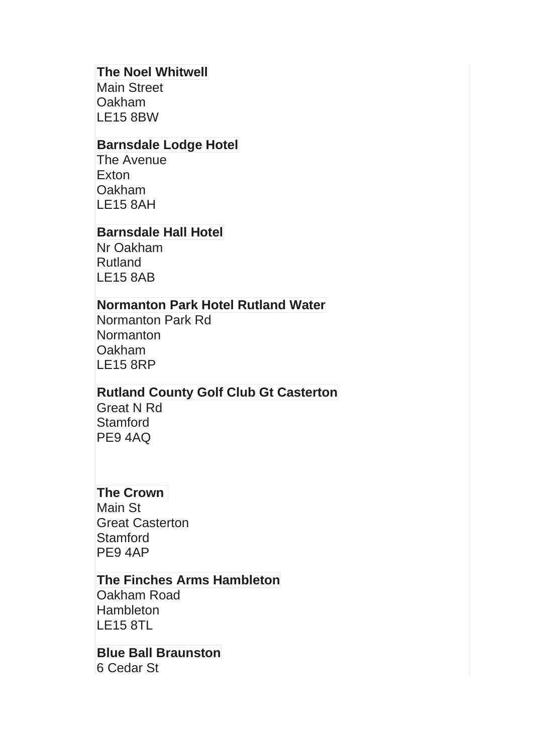### **The Noel Whitwell**

Main Street **Oakham** LE15 8BW

# **Barnsdale Lodge Hotel**

The Avenue **Exton** Oakham LE15 8AH

### **Barnsdale Hall Hotel**

Nr Oakham Rutland LE15 8AB

### **Normanton Park Hotel Rutland Water**

Normanton Park Rd **Normanton** Oakham LE15 8RP

## **Rutland County Golf Club Gt Casterton**

Great N Rd **Stamford** PE9 4AQ

## **The Crown**

Main St Great Casterton **Stamford** PE9 4AP

### **The Finches Arms Hambleton**

Oakham Road **Hambleton** LE15 8TL

#### **Blue Ball Braunston** 6 Cedar St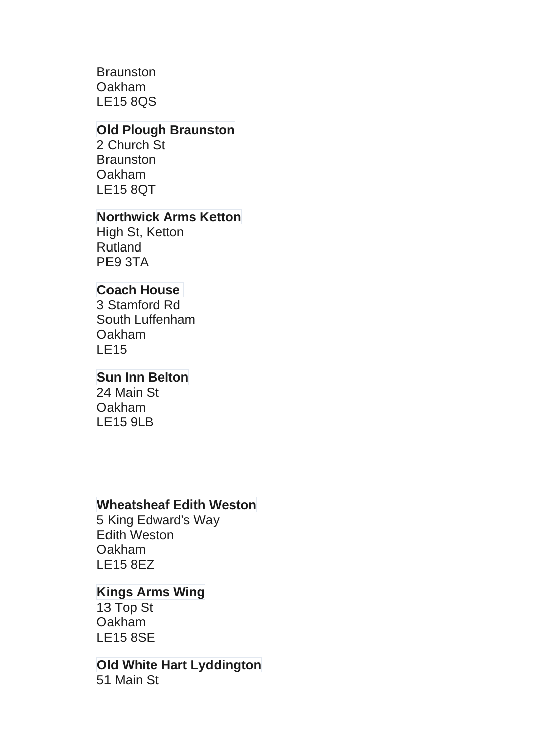**Braunston** Oakham LE15 8QS

### **Old Plough Braunston**

2 Church St **Braunston** Oakham LE15 8QT

### **Northwick Arms Ketton**

High St, Ketton Rutland PE9 3TA

# **Coach House**

3 Stamford Rd South Luffenham Oakham LE15

## **Sun Inn Belton**

24 Main St Oakham LE15 9LB

## **Wheatsheaf Edith Weston**

5 King Edward's Way Edith Weston Oakham LE15 8EZ

# **Kings Arms Wing**

13 Top St Oakham LE15 8SE

**Old White Hart Lyddington** 51 Main St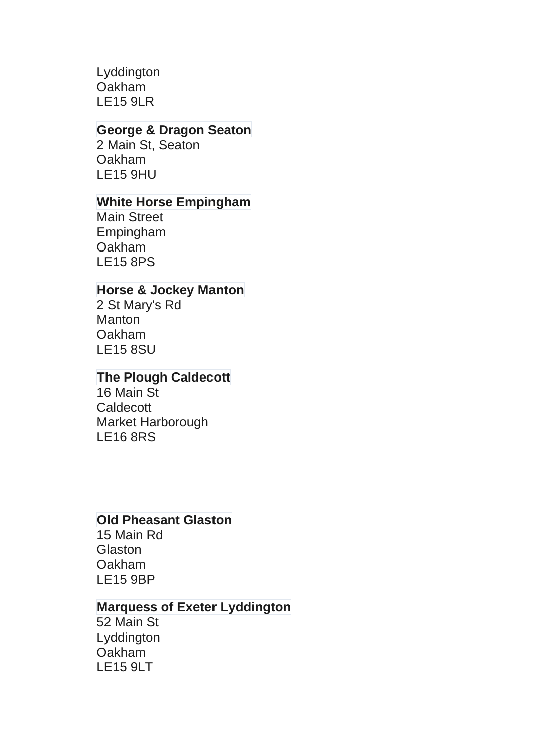Lyddington Oakham LE15 9LR

### **George & Dragon Seaton**

2 Main St, Seaton Oakham LE15 9HU

### **White Horse Empingham**

Main Street Empingham **Oakham** LE15 8PS

### **Horse & Jockey Manton**

2 St Mary's Rd **Manton Oakham** LE15 8SU

## **The Plough Caldecott**

16 Main St **Caldecott** Market Harborough LE16 8RS

## **Old Pheasant Glaston**

15 Main Rd **Glaston Oakham** LE15 9BP

## **Marquess of Exeter Lyddington**

52 Main St Lyddington **Oakham** LE15 9LT